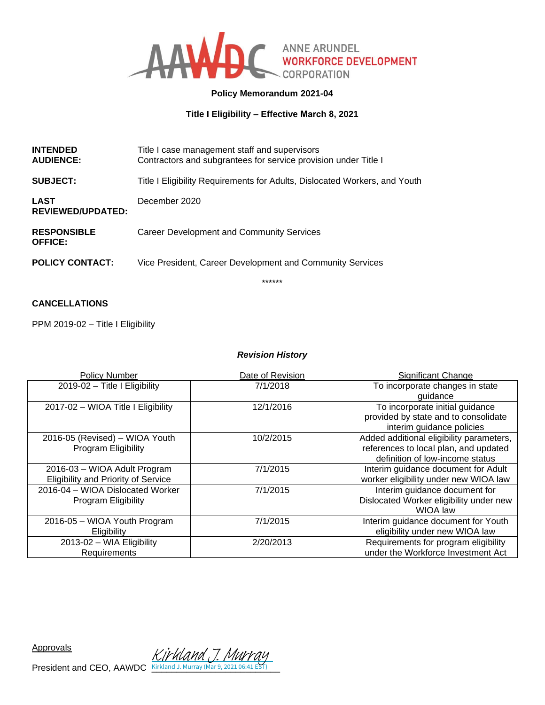

# **Policy Memorandum 2021-04**

**Title I Eligibility – Effective March 8, 2021** 

| <b>INTENDED</b><br><b>AUDIENCE:</b>  | Title I case management staff and supervisors<br>Contractors and subgrantees for service provision under Title I |
|--------------------------------------|------------------------------------------------------------------------------------------------------------------|
| <b>SUBJECT:</b>                      | Title I Eligibility Requirements for Adults, Dislocated Workers, and Youth                                       |
| LAST<br><b>REVIEWED/UPDATED:</b>     | December 2020                                                                                                    |
| <b>RESPONSIBLE</b><br><b>OFFICE:</b> | Career Development and Community Services                                                                        |
| <b>POLICY CONTACT:</b>               | Vice President, Career Development and Community Services                                                        |
|                                      | ******                                                                                                           |

# **CANCELLATIONS**

PPM 2019-02 - Title I Eligibility

### *Revision History*

| <b>Policy Number</b>                                                       | Date of Revision | Significant Change                                                                                                   |
|----------------------------------------------------------------------------|------------------|----------------------------------------------------------------------------------------------------------------------|
| 2019-02 - Title I Eligibility                                              | 7/1/2018         | To incorporate changes in state<br>guidance                                                                          |
| 2017-02 - WIOA Title I Eligibility                                         | 12/1/2016        | To incorporate initial guidance<br>provided by state and to consolidate<br>interim guidance policies                 |
| 2016-05 (Revised) - WIOA Youth<br>Program Eligibility                      | 10/2/2015        | Added additional eligibility parameters,<br>references to local plan, and updated<br>definition of low-income status |
| 2016-03 - WIOA Adult Program<br><b>Eligibility and Priority of Service</b> | 7/1/2015         | Interim guidance document for Adult<br>worker eligibility under new WIOA law                                         |
| 2016-04 - WIOA Dislocated Worker<br><b>Program Eligibility</b>             | 7/1/2015         | Interim guidance document for<br>Dislocated Worker eligibility under new<br>WIOA law                                 |
| 2016-05 - WIOA Youth Program<br>Eligibility                                | 7/1/2015         | Interim guidance document for Youth<br>eligibility under new WIOA law                                                |
| 2013-02 - WIA Eligibility<br>Requirements                                  | 2/20/2013        | Requirements for program eligibility<br>under the Workforce Investment Act                                           |

Approvals

**President and CEO, AAWDC**  $\frac{K\dot{W}$  (May 7. Muy 7.021 06:41 EST)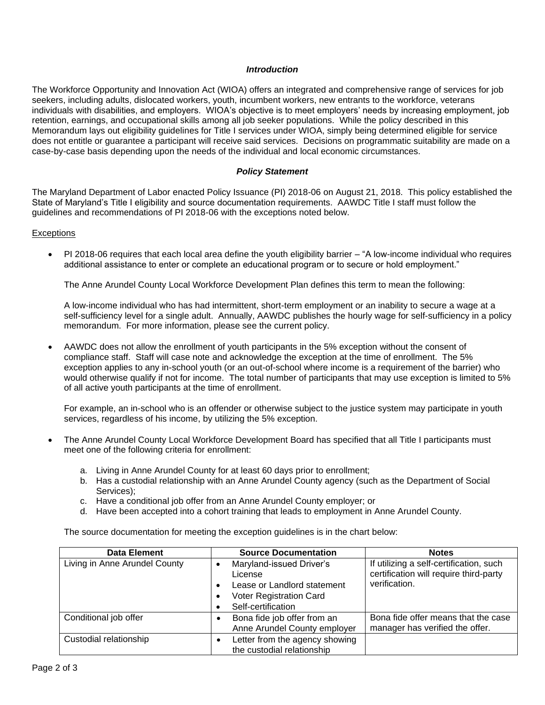#### *Introduction*

The Workforce Opportunity and Innovation Act (WIOA) offers an integrated and comprehensive range of services for job seekers, including adults, dislocated workers, youth, incumbent workers, new entrants to the workforce, veterans individuals with disabilities, and employers. WIOA's objective is to meet employers' needs by increasing employment, job retention, earnings, and occupational skills among all job seeker populations. While the policy described in this Memorandum lays out eligibility guidelines for Title I services under WIOA, simply being determined eligible for service does not entitle or guarantee a participant will receive said services. Decisions on programmatic suitability are made on a case-by-case basis depending upon the needs of the individual and local economic circumstances.

#### *Policy Statement*

The Maryland Department of Labor enacted Policy Issuance (PI) 2018-06 on August 21, 2018. This policy established the State of Maryland's Title I eligibility and source documentation requirements. AAWDC Title I staff must follow the guidelines and recommendations of PI 2018-06 with the exceptions noted below.

#### **Exceptions**

• PI 2018-06 requires that each local area define the youth eligibility barrier – "A low-income individual who requires additional assistance to enter or complete an educational program or to secure or hold employment."

The Anne Arundel County Local Workforce Development Plan defines this term to mean the following:

A low-income individual who has had intermittent, short-term employment or an inability to secure a wage at a self-sufficiency level for a single adult. Annually, AAWDC publishes the hourly wage for self-sufficiency in a policy memorandum. For more information, please see the current policy.

• AAWDC does not allow the enrollment of youth participants in the 5% exception without the consent of compliance staff. Staff will case note and acknowledge the exception at the time of enrollment. The 5% exception applies to any in-school youth (or an out-of-school where income is a requirement of the barrier) who would otherwise qualify if not for income. The total number of participants that may use exception is limited to 5% of all active youth participants at the time of enrollment.

For example, an in-school who is an offender or otherwise subject to the justice system may participate in youth services, regardless of his income, by utilizing the 5% exception.

- The Anne Arundel County Local Workforce Development Board has specified that all Title I participants must meet one of the following criteria for enrollment:
	- a. Living in Anne Arundel County for at least 60 days prior to enrollment;
	- b. Has a custodial relationship with an Anne Arundel County agency (such as the Department of Social Services);
	- c. Have a conditional job offer from an Anne Arundel County employer; or
	- d. Have been accepted into a cohort training that leads to employment in Anne Arundel County.

The source documentation for meeting the exception guidelines is in the chart below:

| Data Element                  | <b>Source Documentation</b>                                                                                         | <b>Notes</b>                                                                                       |
|-------------------------------|---------------------------------------------------------------------------------------------------------------------|----------------------------------------------------------------------------------------------------|
| Living in Anne Arundel County | Maryland-issued Driver's<br>License<br>Lease or Landlord statement<br>Voter Registration Card<br>Self-certification | If utilizing a self-certification, such<br>certification will require third-party<br>verification. |
| Conditional job offer         | Bona fide job offer from an<br>Anne Arundel County employer                                                         | Bona fide offer means that the case<br>manager has verified the offer.                             |
| Custodial relationship        | Letter from the agency showing<br>the custodial relationship                                                        |                                                                                                    |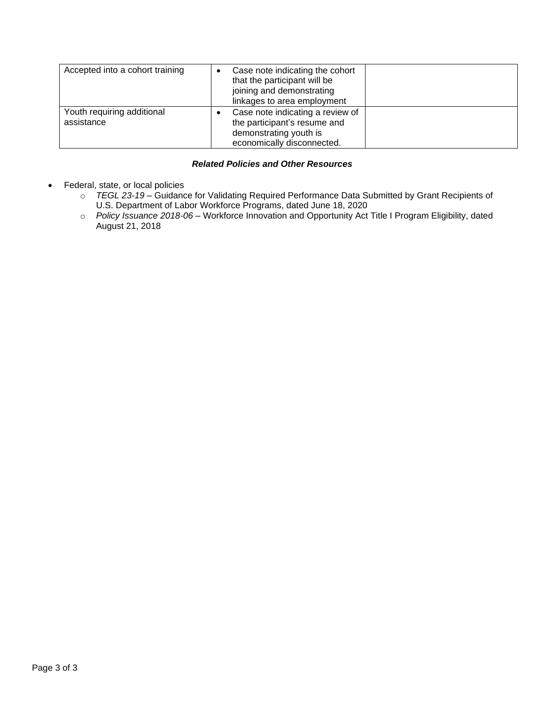| Accepted into a cohort training          | Case note indicating the cohort<br>that the participant will be<br>joining and demonstrating<br>linkages to area employment |  |
|------------------------------------------|-----------------------------------------------------------------------------------------------------------------------------|--|
| Youth requiring additional<br>assistance | Case note indicating a review of<br>the participant's resume and<br>demonstrating youth is<br>economically disconnected.    |  |

## *Related Policies and Other Resources*

- Federal, state, or local policies
	- o *TEGL 23-19 –* Guidance for Validating Required Performance Data Submitted by Grant Recipients of U.S. Department of Labor Workforce Programs, dated June 18, 2020
	- o *Policy Issuance 2018-06 –* Workforce Innovation and Opportunity Act Title I Program Eligibility, dated August 21, 2018